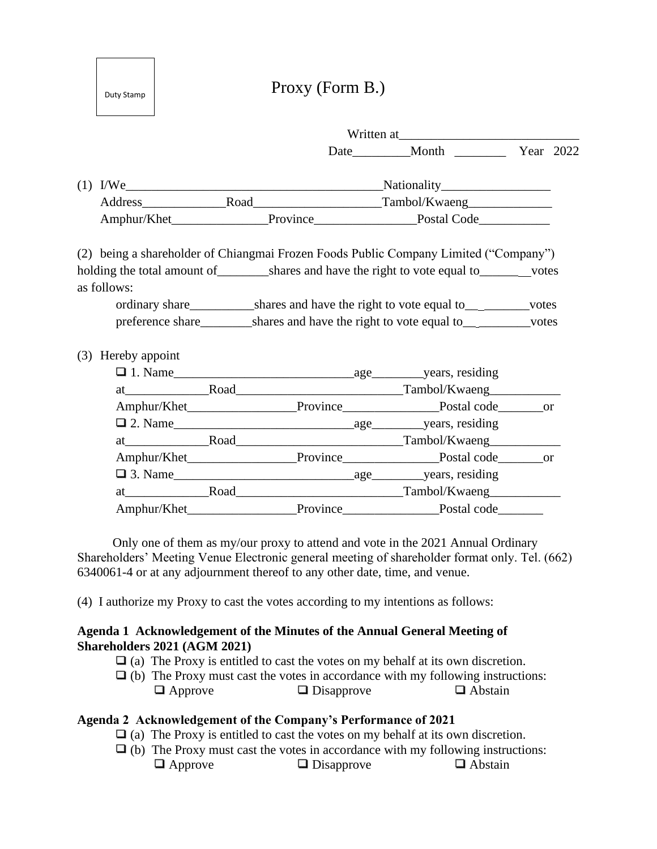Proxy (Form B.)

Duty Stamp

Baht 20

|                    | Written at |                                                                                                                |  |  |
|--------------------|------------|----------------------------------------------------------------------------------------------------------------|--|--|
|                    |            |                                                                                                                |  |  |
|                    |            |                                                                                                                |  |  |
|                    |            |                                                                                                                |  |  |
|                    |            |                                                                                                                |  |  |
|                    |            | (2) being a shareholder of Chiangmai Frozen Foods Public Company Limited ("Company")                           |  |  |
|                    |            |                                                                                                                |  |  |
| as follows:        |            |                                                                                                                |  |  |
|                    |            | ordinary share shares and have the right to vote equal to see the state of the state of the share of the share |  |  |
|                    |            | preference share shares and have the right to vote equal to services                                           |  |  |
| (3) Hereby appoint |            |                                                                                                                |  |  |
|                    |            |                                                                                                                |  |  |
|                    |            |                                                                                                                |  |  |
|                    |            | Amphur/Khet________________________Province________________________Postal code__________or                     |  |  |
|                    |            |                                                                                                                |  |  |
|                    |            |                                                                                                                |  |  |
|                    |            | Amphur/Khet_________________________Province______________________Postal code_________or                       |  |  |
|                    |            |                                                                                                                |  |  |
|                    |            |                                                                                                                |  |  |
|                    |            |                                                                                                                |  |  |
|                    |            |                                                                                                                |  |  |

 Only one of them as my/our proxy to attend and vote in the 2021 Annual Ordinary Shareholders' Meeting Venue Electronic general meeting of shareholder format only. Tel. (662) 6340061-4 or at any adjournment thereof to any other date, time, and venue.

(4) I authorize my Proxy to cast the votes according to my intentions as follows:

#### **Agenda 1 Acknowledgement of the Minutes of the Annual General Meeting of Shareholders 2021 (AGM 2021)**

- $\Box$  (a) The Proxy is entitled to cast the votes on my behalf at its own discretion.
- $\Box$  (b) The Proxy must cast the votes in accordance with my following instructions:  $\Box$  Approve  $\Box$  Disapprove  $\Box$  Abstain

# **Agenda 2 Acknowledgement of the Company's Performance of 2021**

- $\Box$  (a) The Proxy is entitled to cast the votes on my behalf at its own discretion.
- $\Box$  (b) The Proxy must cast the votes in accordance with my following instructions:  $\Box$  Approve  $\Box$  Disapprove  $\Box$  Abstain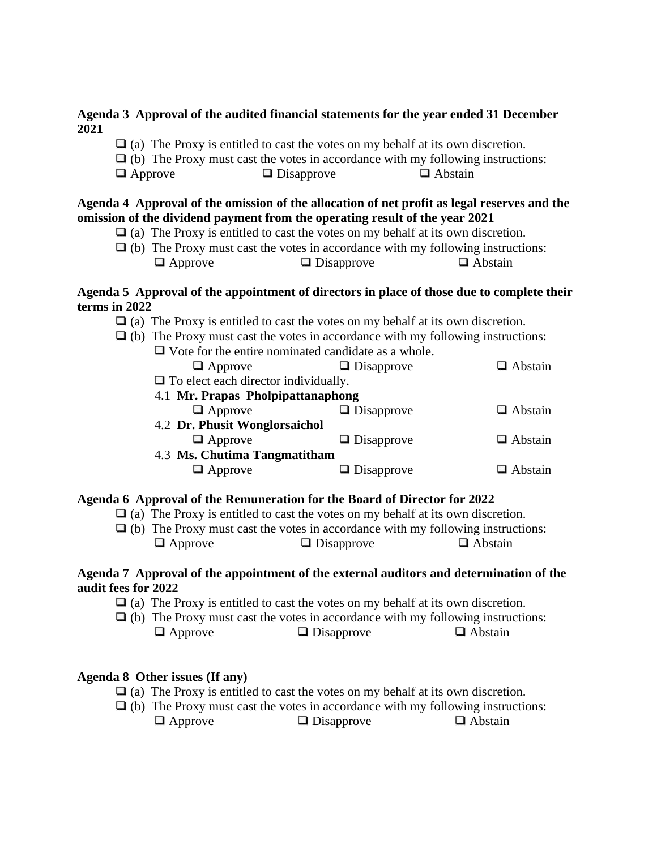#### **Agenda 3 Approval of the audited financial statements for the year ended 31 December 2021**

- $\Box$  (a) The Proxy is entitled to cast the votes on my behalf at its own discretion.
- $\Box$  (b) The Proxy must cast the votes in accordance with my following instructions:
- $\Box$  Approve  $\Box$  Disapprove  $\Box$  Abstain

## **Agenda 4 Approval of the omission of the allocation of net profit as legal reserves and the omission of the dividend payment from the operating result of the year 2021**

- $\Box$  (a) The Proxy is entitled to cast the votes on my behalf at its own discretion.
- $\Box$  (b) The Proxy must cast the votes in accordance with my following instructions:  $\Box$  Approve  $\Box$  Disapprove  $\Box$  Abstain

## **Agenda 5 Approval of the appointment of directors in place of those due to complete their terms in 2022**

- $\Box$  (a) The Proxy is entitled to cast the votes on my behalf at its own discretion.
- $\Box$  (b) The Proxy must cast the votes in accordance with my following instructions: Vote for the entire nominated candidate as a whole.

| <u>volo ibi ilio olimo hominiutoti olihtitutto lib u veliolo.</u> |                   |                |  |  |  |  |  |
|-------------------------------------------------------------------|-------------------|----------------|--|--|--|--|--|
| $\Box$ Approve                                                    | $\Box$ Disapprove | $\Box$ Abstain |  |  |  |  |  |
| $\Box$ To elect each director individually.                       |                   |                |  |  |  |  |  |
| 4.1 Mr. Prapas Pholpipattanaphong                                 |                   |                |  |  |  |  |  |
| $\Box$ Approve                                                    | $\Box$ Disapprove | $\Box$ Abstain |  |  |  |  |  |
| 4.2 Dr. Phusit Wonglorsaichol                                     |                   |                |  |  |  |  |  |
| $\Box$ Approve                                                    | $\Box$ Disapprove | $\Box$ Abstain |  |  |  |  |  |
| 4.3 Ms. Chutima Tangmatitham                                      |                   |                |  |  |  |  |  |
| $\Box$ Approve                                                    | $\Box$ Disapprove | $\Box$ Abstain |  |  |  |  |  |
|                                                                   |                   |                |  |  |  |  |  |

# **Agenda 6 Approval of the Remuneration for the Board of Director for 2022**

- $\Box$  (a) The Proxy is entitled to cast the votes on my behalf at its own discretion.
- $\Box$  (b) The Proxy must cast the votes in accordance with my following instructions:  $\Box$  Approve  $\Box$  Disapprove  $\Box$  Abstain

#### **Agenda 7 Approval of the appointment of the external auditors and determination of the audit fees for 2022**

- $\Box$  (a) The Proxy is entitled to cast the votes on my behalf at its own discretion.
- $\Box$  (b) The Proxy must cast the votes in accordance with my following instructions:  $\Box$  Approve  $\Box$  Disapprove  $\Box$  Abstain

# **Agenda 8 Other issues (If any)**

- $\Box$  (a) The Proxy is entitled to cast the votes on my behalf at its own discretion.
- $\Box$  (b) The Proxy must cast the votes in accordance with my following instructions:  $\Box$  Approve  $\Box$  Disapprove  $\Box$  Abstain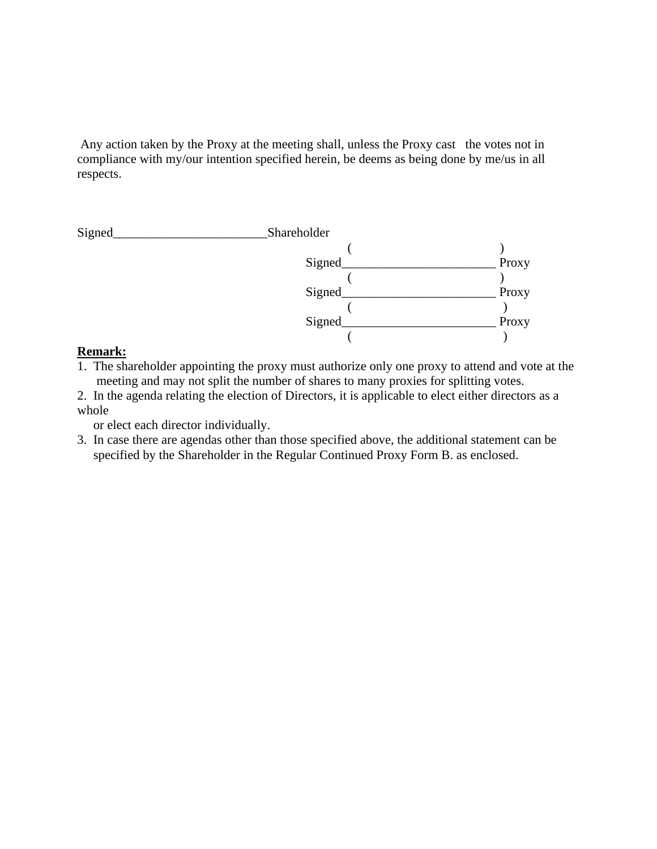Any action taken by the Proxy at the meeting shall, unless the Proxy cast the votes not in compliance with my/our intention specified herein, be deems as being done by me/us in all respects.



#### **Remark:**

- 1. The shareholder appointing the proxy must authorize only one proxy to attend and vote at the meeting and may not split the number of shares to many proxies for splitting votes.
- 2. In the agenda relating the election of Directors, it is applicable to elect either directors as a whole

or elect each director individually.

3. In case there are agendas other than those specified above, the additional statement can be specified by the Shareholder in the Regular Continued Proxy Form B. as enclosed.